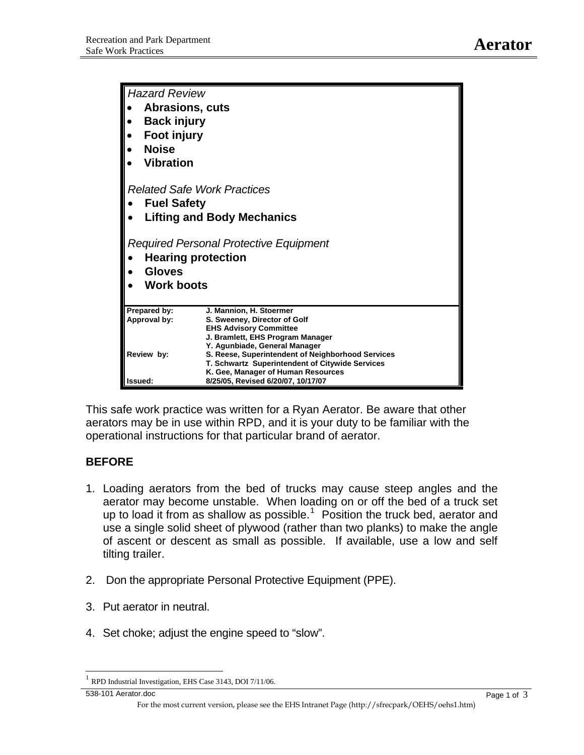| <b>Hazard Review</b>                                                                                             |                                                                   |
|------------------------------------------------------------------------------------------------------------------|-------------------------------------------------------------------|
| Abrasions, cuts                                                                                                  |                                                                   |
| <b>Back injury</b>                                                                                               |                                                                   |
| Foot injury                                                                                                      |                                                                   |
|                                                                                                                  |                                                                   |
| <b>Noise</b>                                                                                                     |                                                                   |
| <b>Vibration</b>                                                                                                 |                                                                   |
| <b>Related Safe Work Practices</b><br><b>Fuel Safety</b>                                                         |                                                                   |
|                                                                                                                  |                                                                   |
| <b>Lifting and Body Mechanics</b>                                                                                |                                                                   |
| <b>Required Personal Protective Equipment</b><br><b>Hearing protection</b><br><b>Gloves</b><br><b>Work boots</b> |                                                                   |
| Prepared by:                                                                                                     | J. Mannion, H. Stoermer                                           |
| Approval by:                                                                                                     | S. Sweeney, Director of Golf                                      |
|                                                                                                                  | <b>EHS Advisory Committee</b><br>J. Bramlett, EHS Program Manager |
|                                                                                                                  | Y. Agunbiade, General Manager                                     |
| Review by:                                                                                                       | S. Reese, Superintendent of Neighborhood Services                 |
|                                                                                                                  | T. Schwartz Superintendent of Citywide Services                   |
|                                                                                                                  | K. Gee, Manager of Human Resources                                |
| Issued:                                                                                                          | 8/25/05, Revised 6/20/07, 10/17/07                                |

This safe work practice was written for a Ryan Aerator. Be aware that other aerators may be in use within RPD, and it is your duty to be familiar with the operational instructions for that particular brand of aerator.

## **BEFORE**

- 1. Loading aerators from the bed of trucks may cause steep angles and the aerator may become unstable. When loading on or off the bed of a truck set up to load it from as shallow as possible. $1$  Position the truck bed, aerator and use a single solid sheet of plywood (rather than two planks) to make the angle of ascent or descent as small as possible. If available, use a low and self tilting trailer.
- 2. Don the appropriate Personal Protective Equipment (PPE).
- 3. Put aerator in neutral.
- 4. Set choke; adjust the engine speed to "slow".

538-101 Aerator.doc Page 1 of 3

 $\overline{a}$ 

<span id="page-0-0"></span>RPD Industrial Investigation, EHS Case 3143, DOI 7/11/06.